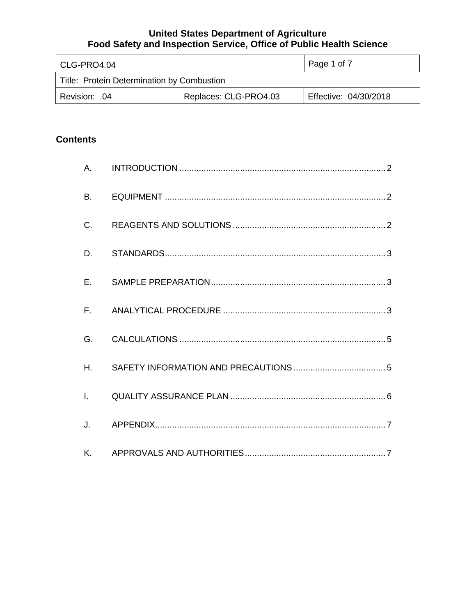| l CLG-PRO4.04                              |  | Page 1 of 7           |
|--------------------------------------------|--|-----------------------|
| Title: Protein Determination by Combustion |  |                       |
| Replaces: CLG-PRO4.03<br>Revision: .04     |  | Effective: 04/30/2018 |

# **Contents**

| A.           |  |
|--------------|--|
| <b>B.</b>    |  |
| C.           |  |
| D.           |  |
| E.           |  |
|              |  |
| G.           |  |
| Η.           |  |
| $\mathbf{L}$ |  |
| J.           |  |
| K.           |  |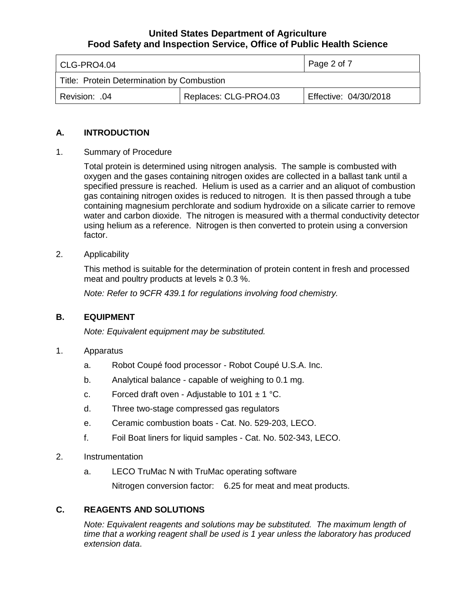| l CLG-PRO4.04                              |  | Page 2 of 7           |
|--------------------------------------------|--|-----------------------|
| Title: Protein Determination by Combustion |  |                       |
| Replaces: CLG-PRO4.03<br>l Revision: .04   |  | Effective: 04/30/2018 |

### **A. INTRODUCTION**

1. Summary of Procedure

Total protein is determined using nitrogen analysis. The sample is combusted with oxygen and the gases containing nitrogen oxides are collected in a ballast tank until a specified pressure is reached. Helium is used as a carrier and an aliquot of combustion gas containing nitrogen oxides is reduced to nitrogen. It is then passed through a tube containing magnesium perchlorate and sodium hydroxide on a silicate carrier to remove water and carbon dioxide. The nitrogen is measured with a thermal conductivity detector using helium as a reference. Nitrogen is then converted to protein using a conversion factor.

2. Applicability

This method is suitable for the determination of protein content in fresh and processed meat and poultry products at levels  $\geq 0.3$  %.

*Note: Refer to 9CFR 439.1 for regulations involving food chemistry.*

#### **B. EQUIPMENT**

*Note: Equivalent equipment may be substituted.*

- 1. Apparatus
	- a. Robot Coupé food processor Robot Coupé U.S.A. Inc.
	- b. Analytical balance capable of weighing to 0.1 mg.
	- c. Forced draft oven Adjustable to  $101 \pm 1$  °C.
	- d. Three two-stage compressed gas regulators
	- e. Ceramic combustion boats Cat. No. 529-203, LECO.
	- f. Foil Boat liners for liquid samples Cat. No. 502-343, LECO.
- 2. Instrumentation
	- a. LECO TruMac N with TruMac operating software

Nitrogen conversion factor: 6.25 for meat and meat products.

### **C. REAGENTS AND SOLUTIONS**

*Note: Equivalent reagents and solutions may be substituted. The maximum length of time that a working reagent shall be used is 1 year unless the laboratory has produced extension data*.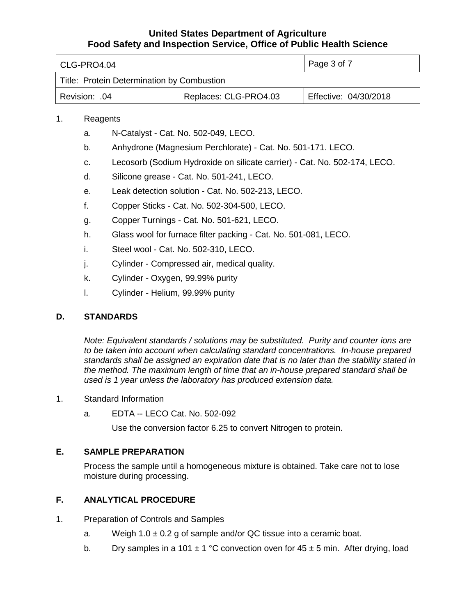| l CLG-PRO4.04                              |  | Page 3 of 7           |
|--------------------------------------------|--|-----------------------|
| Title: Protein Determination by Combustion |  |                       |
| Replaces: CLG-PRO4.03<br>.04. :Revision    |  | Effective: 04/30/2018 |

### 1. Reagents

- a. N-Catalyst Cat. No. 502-049, LECO.
- b. Anhydrone (Magnesium Perchlorate) Cat. No. 501-171. LECO.
- c. Lecosorb (Sodium Hydroxide on silicate carrier) Cat. No. 502-174, LECO.
- d. Silicone grease Cat. No. 501-241, LECO.
- e. Leak detection solution Cat. No. 502-213, LECO.
- f. Copper Sticks Cat. No. 502-304-500, LECO.
- g. Copper Turnings Cat. No. 501-621, LECO.
- h. Glass wool for furnace filter packing Cat. No. 501-081, LECO.
- i. Steel wool Cat. No. 502-310, LECO.
- j. Cylinder Compressed air, medical quality.
- k. Cylinder Oxygen, 99.99% purity
- l. Cylinder Helium, 99.99% purity

### **D. STANDARDS**

*Note: Equivalent standards / solutions may be substituted. Purity and counter ions are to be taken into account when calculating standard concentrations. In-house prepared standards shall be assigned an expiration date that is no later than the stability stated in the method. The maximum length of time that an in-house prepared standard shall be used is 1 year unless the laboratory has produced extension data.*

- 1. Standard Information
	- a. EDTA -- LECO Cat. No. 502-092

Use the conversion factor 6.25 to convert Nitrogen to protein.

### **E. SAMPLE PREPARATION**

Process the sample until a homogeneous mixture is obtained. Take care not to lose moisture during processing.

## **F. ANALYTICAL PROCEDURE**

- 1. Preparation of Controls and Samples
	- a. Weigh  $1.0 \pm 0.2$  g of sample and/or QC tissue into a ceramic boat.
	- b. Dry samples in a 101  $\pm$  1 °C convection oven for 45  $\pm$  5 min. After drying, load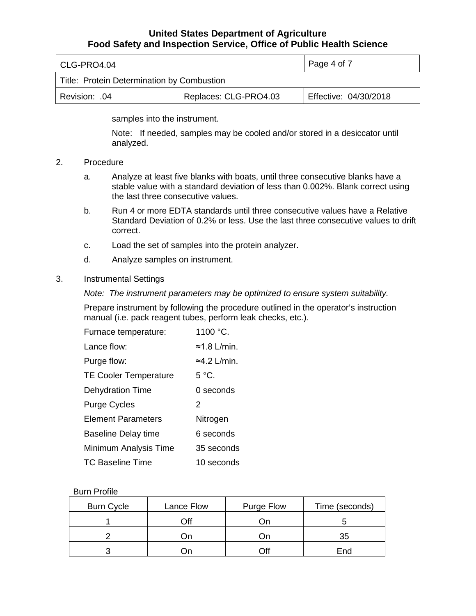| l CLG-PRO4.04                              |  | Page 4 of 7           |
|--------------------------------------------|--|-----------------------|
| Title: Protein Determination by Combustion |  |                       |
| Replaces: CLG-PRO4.03<br>Revision: .04     |  | Effective: 04/30/2018 |

samples into the instrument.

Note: If needed, samples may be cooled and/or stored in a desiccator until analyzed.

- 2. Procedure
	- a. Analyze at least five blanks with boats, until three consecutive blanks have a stable value with a standard deviation of less than 0.002%. Blank correct using the last three consecutive values.
	- b. Run 4 or more EDTA standards until three consecutive values have a Relative Standard Deviation of 0.2% or less. Use the last three consecutive values to drift correct.
	- c. Load the set of samples into the protein analyzer.
	- d. Analyze samples on instrument.

#### 3. Instrumental Settings

*Note: The instrument parameters may be optimized to ensure system suitability.*

Prepare instrument by following the procedure outlined in the operator's instruction manual (i.e. pack reagent tubes, perform leak checks, etc.).

| Furnace temperature:         | 1100 °C.             |
|------------------------------|----------------------|
| Lance flow:                  | $\approx$ 1.8 L/min. |
| Purge flow:                  | $\approx$ 4.2 L/min. |
| <b>TE Cooler Temperature</b> | $5^{\circ}$ C.       |
| <b>Dehydration Time</b>      | $0$ seconds          |
| <b>Purge Cycles</b>          | 2                    |
| <b>Element Parameters</b>    | Nitrogen             |
| <b>Baseline Delay time</b>   | 6 seconds            |
| Minimum Analysis Time        | 35 seconds           |
| TC Baseline Time             | 10 seconds           |

#### Burn Profile

| <b>Burn Cycle</b> | Lance Flow | Purge Flow | Time (seconds) |
|-------------------|------------|------------|----------------|
|                   | Off        | Jn         |                |
|                   | On.        | υn         | 35             |
|                   | ∶)n        | Off        | End            |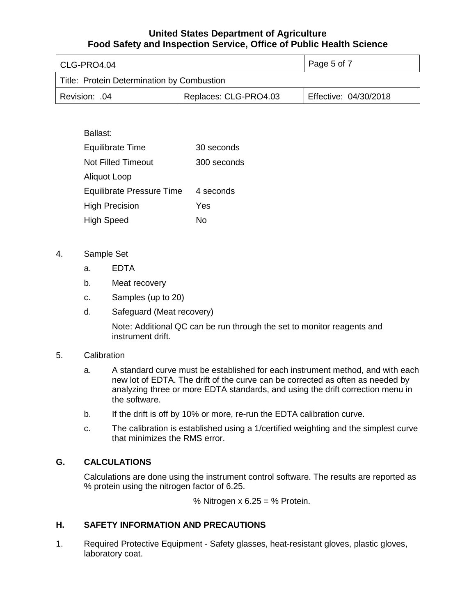| CLG-PRO4.04                                |                       | Page 5 of 7           |
|--------------------------------------------|-----------------------|-----------------------|
| Title: Protein Determination by Combustion |                       |                       |
| Revision: .04                              | Replaces: CLG-PRO4.03 | Effective: 04/30/2018 |

### Ballast:

| <b>Equilibrate Time</b>          | 30 seconds  |
|----------------------------------|-------------|
| <b>Not Filled Timeout</b>        | 300 seconds |
| Aliquot Loop                     |             |
| <b>Equilibrate Pressure Time</b> | 4 seconds   |
| <b>High Precision</b>            | Yes         |
| <b>High Speed</b>                | Nο          |

### 4. Sample Set

- a. EDTA
- b. Meat recovery
- c. Samples (up to 20)
- d. Safeguard (Meat recovery)

Note: Additional QC can be run through the set to monitor reagents and instrument drift.

#### 5. Calibration

- a. A standard curve must be established for each instrument method, and with each new lot of EDTA. The drift of the curve can be corrected as often as needed by analyzing three or more EDTA standards, and using the drift correction menu in the software.
- b. If the drift is off by 10% or more, re-run the EDTA calibration curve.
- c. The calibration is established using a 1/certified weighting and the simplest curve that minimizes the RMS error.

### **G. CALCULATIONS**

Calculations are done using the instrument control software. The results are reported as % protein using the nitrogen factor of 6.25.

% Nitrogen  $x 6.25 = %$  Protein.

### **H. SAFETY INFORMATION AND PRECAUTIONS**

1. Required Protective Equipment - Safety glasses, heat-resistant gloves, plastic gloves, laboratory coat.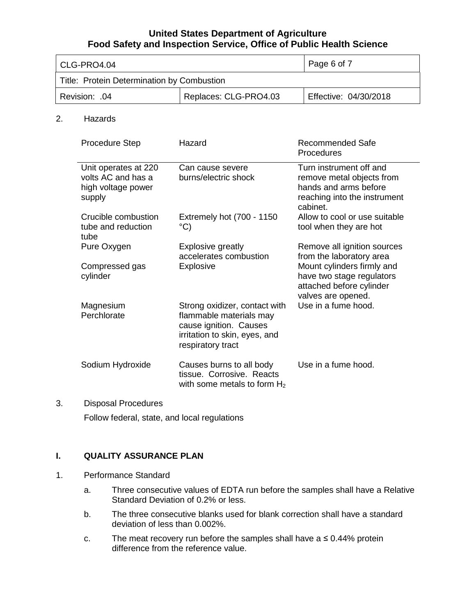| l CLG-PRO4.04                              |  | Page 6 of 7           |
|--------------------------------------------|--|-----------------------|
| Title: Protein Determination by Combustion |  |                       |
| Replaces: CLG-PRO4.03<br>Revision: .04     |  | Effective: 04/30/2018 |

#### 2. Hazards

| <b>Procedure Step</b>                                                      | Hazard                                                                                                                                   | Recommended Safe<br>Procedures                                                                                            |
|----------------------------------------------------------------------------|------------------------------------------------------------------------------------------------------------------------------------------|---------------------------------------------------------------------------------------------------------------------------|
| Unit operates at 220<br>volts AC and has a<br>high voltage power<br>supply | Can cause severe<br>burns/electric shock                                                                                                 | Turn instrument off and<br>remove metal objects from<br>hands and arms before<br>reaching into the instrument<br>cabinet. |
| Crucible combustion<br>tube and reduction<br>tube                          | Extremely hot (700 - 1150<br>°C)                                                                                                         | Allow to cool or use suitable<br>tool when they are hot                                                                   |
| Pure Oxygen                                                                | <b>Explosive greatly</b><br>accelerates combustion                                                                                       | Remove all ignition sources<br>from the laboratory area                                                                   |
| Compressed gas<br>cylinder                                                 | <b>Explosive</b>                                                                                                                         | Mount cylinders firmly and<br>have two stage regulators<br>attached before cylinder<br>valves are opened.                 |
| Magnesium<br>Perchlorate                                                   | Strong oxidizer, contact with<br>flammable materials may<br>cause ignition. Causes<br>irritation to skin, eyes, and<br>respiratory tract | Use in a fume hood.                                                                                                       |
| Sodium Hydroxide                                                           | Causes burns to all body<br>tissue. Corrosive. Reacts<br>with some metals to form $H_2$                                                  | Use in a fume hood.                                                                                                       |

## 3. Disposal Procedures Follow federal, state, and local regulations

#### **I. QUALITY ASSURANCE PLAN**

- 1. Performance Standard
	- a. Three consecutive values of EDTA run before the samples shall have a Relative Standard Deviation of 0.2% or less.
	- b. The three consecutive blanks used for blank correction shall have a standard deviation of less than 0.002%.
	- c. The meat recovery run before the samples shall have a  $\leq 0.44\%$  protein difference from the reference value.